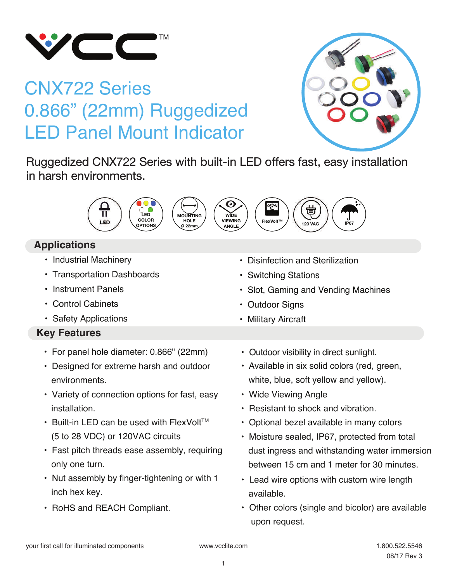

# CNX722 Series 0.866" (22mm) Ruggedized LED Panel Mount Indicator



Ruggedized CNX722 Series with built-in LED offers fast, easy installation in harsh environments.



## **Applications**

- Industrial Machinery
- Transportation Dashboards
- Instrument Panels
- Control Cabinets
- Safety Applications

## **Key Features**

- For panel hole diameter: 0.866" (22mm)
- Designed for extreme harsh and outdoor environments.
- Variety of connection options for fast, easy installation.
- $\cdot$  Built-in LED can be used with FlexVolt<sup>TM</sup> (5 to 28 VDC) or 120VAC circuits
- Fast pitch threads ease assembly, requiring only one turn.
- Nut assembly by finger-tightening or with 1 inch hex key.
- RoHS and REACH Compliant.

• Military Aircraft

• Slot, Gaming and Vending Machines

• Disinfection and Sterilization

• Switching Stations

• Outdoor Signs

- Outdoor visibility in direct sunlight.
- Available in six solid colors (red, green, white, blue, soft yellow and yellow).
- Wide Viewing Angle
- Resistant to shock and vibration.
- Optional bezel available in many colors
- Moisture sealed, IP67, protected from total dust ingress and withstanding water immersion between 15 cm and 1 meter for 30 minutes.
- Lead wire options with custom wire length available.
- Other colors (single and bicolor) are available upon request.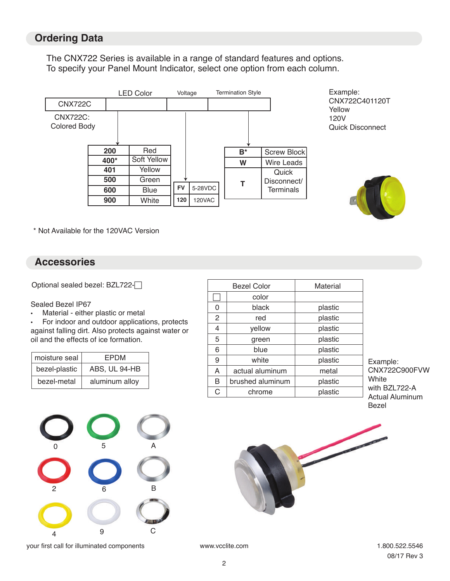### **Ordering Data**

The CNX722 Series is available in a range of standard features and options. To specify your Panel Mount Indicator, select one option from each column.



Example: CNX722C401120T Yellow 120V Quick Disconnect



\* Not Available for the 120VAC Version

#### **Accessories**

Optional sealed bezel: BZL722-

#### Sealed Bezel IP67

• Material - either plastic or metal

• For indoor and outdoor applications, protects against falling dirt. Also protects against water or oil and the effects of ice formation.

| moisture seal | FPDM           |
|---------------|----------------|
| bezel-plastic | ABS, UL 94-HB  |
| bezel-metal   | aluminum alloy |



your first call for illuminated components www.vcclite.com 1.800.522.5546

| <b>Bezel Color</b> |                  | Material |
|--------------------|------------------|----------|
|                    | color            |          |
| 0                  | black            | plastic  |
| $\overline{2}$     | red              | plastic  |
| 4                  | yellow           | plastic  |
| 5                  | green            | plastic  |
| 6                  | blue             | plastic  |
| 9                  | white            | plastic  |
| A                  | actual aluminum  | metal    |
| B                  | brushed aluminum | plastic  |
| C                  | chrome           | plastic  |

Example: CNX722C900FVW **White** with BZL722-A Actual Aluminum Bezel



08/17 Rev 3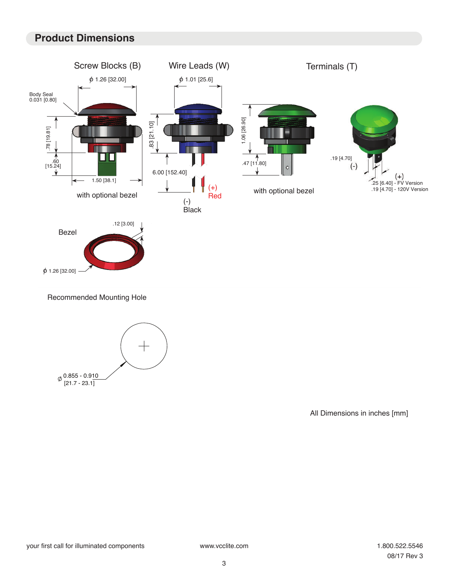## **Product Dimensions**



All Dimensions in inches [mm]

[21.7 - 23.1]